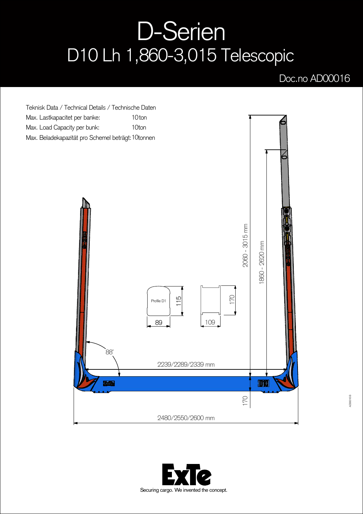## D-Serien D10 Lh 1,860-3,015 Telescopic

## Doc.no AD00016



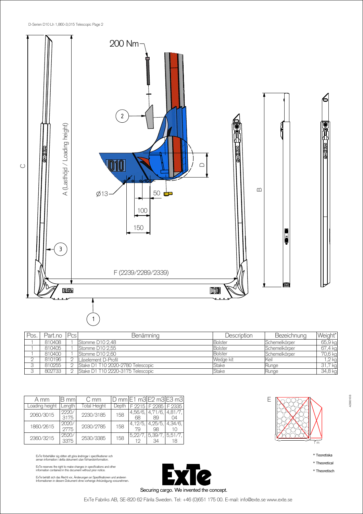

| Pos. | Part.no | Pcs | Benämning                         | Description | Bezeichnung   | Weight* |
|------|---------|-----|-----------------------------------|-------------|---------------|---------|
|      | 810408  |     | Stomme D10 2.48                   | Bolster     | Schemelkörper | 65,9 kg |
|      | 810405  |     | Stomme D10 2.55                   | Bolster     | Schemelkörper | 67,4 kg |
|      | 810400  |     | Stomme D <sub>10</sub> 2.60       | Bolster     | Schemelkörper | 70,6 kg |
|      | 810196  |     | Låselement D-Profil               | Wedge kit   | Keil          | $,2$ kg |
|      | 810255  |     | Stake D1 T10 2020-2780 Telescopic | Stake       | Kunge         | 31,7 kg |
|      | 802733  |     | Stake D1 T10 2220-3175 Telescopic | Stake       | Runge         | 34,8 kg |

| A mm           | B mml         | C mm         |       |               | D mm $E1$ m3 $E2$ m3 $E3$ m3 |               |
|----------------|---------------|--------------|-------|---------------|------------------------------|---------------|
| Loading height | Length        | Total Height | Depth | F 9915        |                              | F 2285 F 2335 |
| 2060/3015      | 2220/<br>3175 | 2230/3185    | 158   | 4.56/6.<br>68 | 4.71/6.<br>89                | 4.81/7.       |
| 1860/2615      | 2020/<br>2775 | 2030/2785    | 158   | 4.12/5        | 4,25/5<br>98                 | 4.34/6.       |
| 2360/3215      | 2520/<br>3375 | 2530/3385    | 158   | 5.22/<br>19   | 5.39/7<br>34                 | 5.51/7.       |

ExTe förbehåller sig rätten att göra ändringar i specifikationer och<br>annan information i detta dokument utan förhandsinformation.

ExTe reserves the right to make changes in specifications and other information contained in this document without prior notice.

ExTe behält sich das Recht vor, Änderungen an Spezifikationen und anderen<br>Informationen in diesem Dokument ohne vorherige Ankündigung vorzunehmen.





\* Teoretiska

AD00016 B

\* Theoretical

\* Theoretisch

ExTe Fabriks AB, SE-820 62 Färila Sweden. Tel: +46 (0)651 175 00. E-mail: info@exte.se www.exte.se